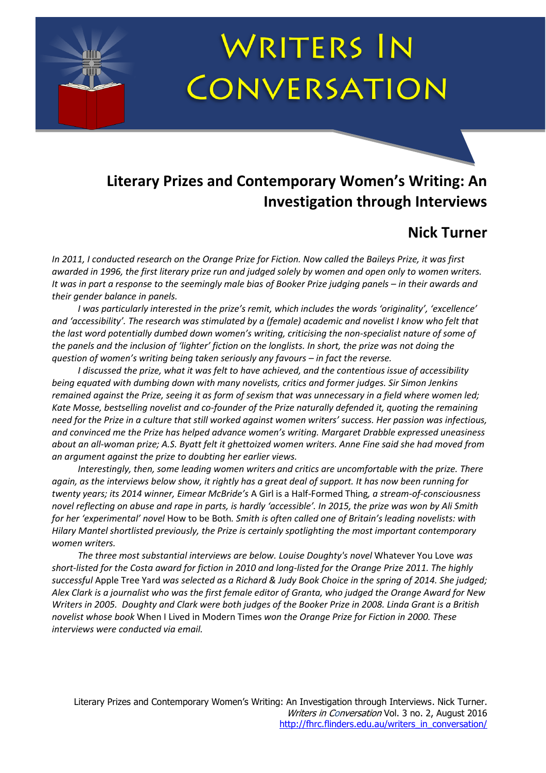# **WRITERS IN** CONVERSATION

## **Literary Prizes and Contemporary Women's Writing: An Investigation through Interviews**

## **Nick Turner**

*In 2011, I conducted research on the Orange Prize for Fiction. Now called the Baileys Prize, it was first awarded in 1996, the first literary prize run and judged solely by women and open only to women writers. It was in part a response to the seemingly male bias of Booker Prize judging panels – in their awards and their gender balance in panels.*

*I was particularly interested in the prize's remit, which includes the words 'originality', 'excellence' and 'accessibility'. The research was stimulated by a (female) academic and novelist I know who felt that the last word potentially dumbed down women's writing, criticising the non-specialist nature of some of the panels and the inclusion of 'lighter' fiction on the longlists. In short, the prize was not doing the question of women's writing being taken seriously any favours – in fact the reverse.*

*I discussed the prize, what it was felt to have achieved, and the contentious issue of accessibility being equated with dumbing down with many novelists, critics and former judges. Sir Simon Jenkins remained against the Prize, seeing it as form of sexism that was unnecessary in a field where women led; Kate Mosse, bestselling novelist and co-founder of the Prize naturally defended it, quoting the remaining need for the Prize in a culture that still worked against women writers' success. Her passion was infectious, and convinced me the Prize has helped advance women's writing. Margaret Drabble expressed uneasiness about an all-woman prize; A.S. Byatt felt it ghettoized women writers. Anne Fine said she had moved from an argument against the prize to doubting her earlier views.*

*Interestingly, then, some leading women writers and critics are uncomfortable with the prize. There again, as the interviews below show, it rightly has a great deal of support. It has now been running for twenty years; its 2014 winner, Eimear McBride's* A Girl is a Half-Formed Thing*, a stream-of-consciousness novel reflecting on abuse and rape in parts, is hardly 'accessible'. In 2015, the prize was won by Ali Smith for her 'experimental' novel* How to be Both*. Smith is often called one of Britain's leading novelists: with Hilary Mantel shortlisted previously, the Prize is certainly spotlighting the most important contemporary women writers.* 

*The three most substantial interviews are below. Louise Doughty's novel* Whatever You Love *was short-listed for the Costa award for fiction in 2010 and long-listed for the Orange Prize 2011. The highly successful* Apple Tree Yard *was selected as a Richard & Judy Book Choice in the spring of 2014. She judged; Alex Clark is a journalist who was the first female editor of Granta, who judged the Orange Award for New Writers in 2005. Doughty and Clark were both judges of the Booker Prize in 2008. Linda Grant is a British novelist whose book* When I Lived in Modern Times *won the Orange Prize for Fiction in 2000. These interviews were conducted via email.*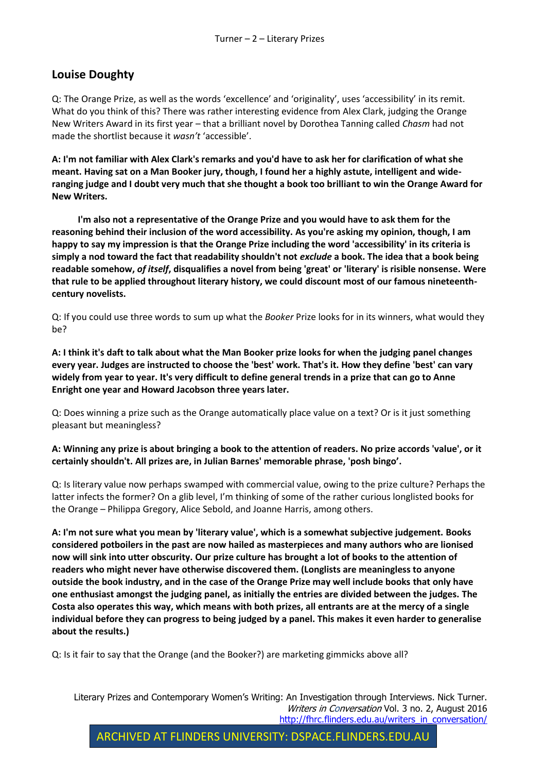#### **Louise Doughty**

Q: The Orange Prize, as well as the words 'excellence' and 'originality', uses 'accessibility' in its remit. What do you think of this? There was rather interesting evidence from Alex Clark, judging the Orange New Writers Award in its first year – that a brilliant novel by Dorothea Tanning called *Chasm* had not made the shortlist because it *wasn't* 'accessible'.

**A: I'm not familiar with Alex Clark's remarks and you'd have to ask her for clarification of what she meant. Having sat on a Man Booker jury, though, I found her a highly astute, intelligent and wideranging judge and I doubt very much that she thought a book too brilliant to win the Orange Award for New Writers.**

**I'm also not a representative of the Orange Prize and you would have to ask them for the reasoning behind their inclusion of the word accessibility. As you're asking my opinion, though, I am happy to say my impression is that the Orange Prize including the word 'accessibility' in its criteria is simply a nod toward the fact that readability shouldn't not** *exclude* **a book. The idea that a book being readable somehow,** *of itself***, disqualifies a novel from being 'great' or 'literary' is risible nonsense. Were that rule to be applied throughout literary history, we could discount most of our famous nineteenthcentury novelists.**

Q: If you could use three words to sum up what the *Booker* Prize looks for in its winners, what would they be?

**A: I think it's daft to talk about what the Man Booker prize looks for when the judging panel changes every year. Judges are instructed to choose the 'best' work. That's it. How they define 'best' can vary widely from year to year. It's very difficult to define general trends in a prize that can go to Anne Enright one year and Howard Jacobson three years later.**

Q: Does winning a prize such as the Orange automatically place value on a text? Or is it just something pleasant but meaningless?

#### **A: Winning any prize is about bringing a book to the attention of readers. No prize accords 'value', or it certainly shouldn't. All prizes are, in Julian Barnes' memorable phrase, 'posh bingo'.**

Q: Is literary value now perhaps swamped with commercial value, owing to the prize culture? Perhaps the latter infects the former? On a glib level, I'm thinking of some of the rather curious longlisted books for the Orange – Philippa Gregory, Alice Sebold, and Joanne Harris, among others.

**A: I'm not sure what you mean by 'literary value', which is a somewhat subjective judgement. Books considered potboilers in the past are now hailed as masterpieces and many authors who are lionised now will sink into utter obscurity. Our prize culture has brought a lot of books to the attention of readers who might never have otherwise discovered them. (Longlists are meaningless to anyone outside the book industry, and in the case of the Orange Prize may well include books that only have one enthusiast amongst the judging panel, as initially the entries are divided between the judges. The Costa also operates this way, which means with both prizes, all entrants are at the mercy of a single individual before they can progress to being judged by a panel. This makes it even harder to generalise about the results.)**

Q: Is it fair to say that the Orange (and the Booker?) are marketing gimmicks above all?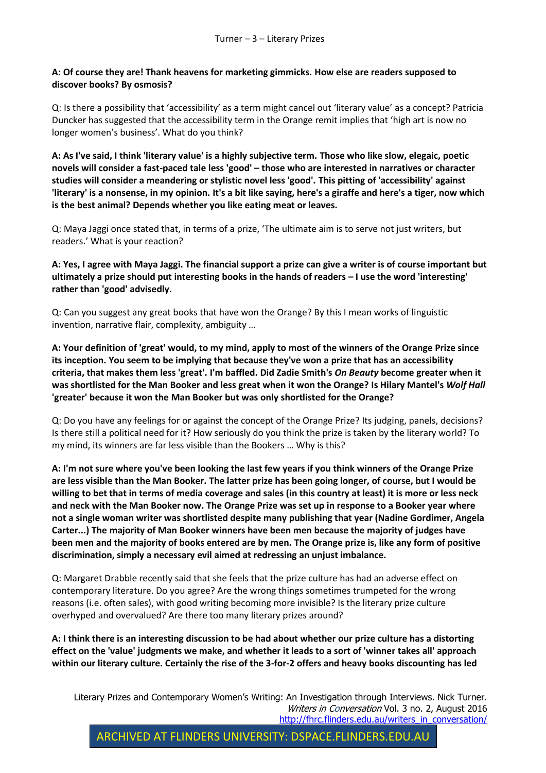#### **A: Of course they are! Thank heavens for marketing gimmicks. How else are readers supposed to discover books? By osmosis?**

Q: Is there a possibility that 'accessibility' as a term might cancel out 'literary value' as a concept? Patricia Duncker has suggested that the accessibility term in the Orange remit implies that 'high art is now no longer women's business'. What do you think?

**A: As I've said, I think 'literary value' is a highly subjective term. Those who like slow, elegaic, poetic novels will consider a fast-paced tale less 'good' – those who are interested in narratives or character studies will consider a meandering or stylistic novel less 'good'. This pitting of 'accessibility' against 'literary' is a nonsense, in my opinion. It's a bit like saying, here's a giraffe and here's a tiger, now which is the best animal? Depends whether you like eating meat or leaves.**

Q: Maya Jaggi once stated that, in terms of a prize, 'The ultimate aim is to serve not just writers, but readers.' What is your reaction?

**A: Yes, I agree with Maya Jaggi. The financial support a prize can give a writer is of course important but ultimately a prize should put interesting books in the hands of readers – I use the word 'interesting' rather than 'good' advisedly.**

Q: Can you suggest any great books that have won the Orange? By this I mean works of linguistic invention, narrative flair, complexity, ambiguity …

**A: Your definition of 'great' would, to my mind, apply to most of the winners of the Orange Prize since its inception. You seem to be implying that because they've won a prize that has an accessibility criteria, that makes them less 'great'. I'm baffled. Did Zadie Smith's** *On Beauty* **become greater when it was shortlisted for the Man Booker and less great when it won the Orange? Is Hilary Mantel's** *Wolf Hall* **'greater' because it won the Man Booker but was only shortlisted for the Orange?**

Q: Do you have any feelings for or against the concept of the Orange Prize? Its judging, panels, decisions? Is there still a political need for it? How seriously do you think the prize is taken by the literary world? To my mind, its winners are far less visible than the Bookers … Why is this?

**A: I'm not sure where you've been looking the last few years if you think winners of the Orange Prize are less visible than the Man Booker. The latter prize has been going longer, of course, but I would be willing to bet that in terms of media coverage and sales (in this country at least) it is more or less neck and neck with the Man Booker now. The Orange Prize was set up in response to a Booker year where not a single woman writer was shortlisted despite many publishing that year (Nadine Gordimer, Angela Carter...) The majority of Man Booker winners have been men because the majority of judges have been men and the majority of books entered are by men. The Orange prize is, like any form of positive discrimination, simply a necessary evil aimed at redressing an unjust imbalance.**

Q: Margaret Drabble recently said that she feels that the prize culture has had an adverse effect on contemporary literature. Do you agree? Are the wrong things sometimes trumpeted for the wrong reasons (i.e. often sales), with good writing becoming more invisible? Is the literary prize culture overhyped and overvalued? Are there too many literary prizes around?

**A: I think there is an interesting discussion to be had about whether our prize culture has a distorting effect on the 'value' judgments we make, and whether it leads to a sort of 'winner takes all' approach within our literary culture. Certainly the rise of the 3-for-2 offers and heavy books discounting has led**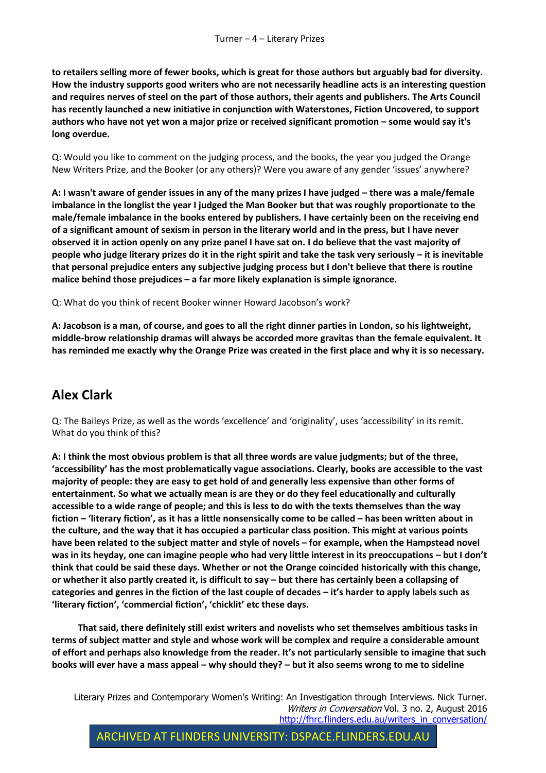**to retailers selling more of fewer books, which is great for those authors but arguably bad for diversity. How the industry supports good writers who are not necessarily headline acts is an interesting question and requires nerves of steel on the part of those authors, their agents and publishers. The Arts Council has recently launched a new initiative in conjunction with Waterstones, Fiction Uncovered, to support authors who have not yet won a major prize or received significant promotion – some would say it's long overdue.**

Q: Would you like to comment on the judging process, and the books, the year you judged the Orange New Writers Prize, and the Booker (or any others)? Were you aware of any gender 'issues' anywhere?

**A: I wasn't aware of gender issues in any of the many prizes I have judged – there was a male/female imbalance in the longlist the year I judged the Man Booker but that was roughly proportionate to the male/female imbalance in the books entered by publishers. I have certainly been on the receiving end of a significant amount of sexism in person in the literary world and in the press, but I have never observed it in action openly on any prize panel I have sat on. I do believe that the vast majority of people who judge literary prizes do it in the right spirit and take the task very seriously – it is inevitable that personal prejudice enters any subjective judging process but I don't believe that there is routine malice behind those prejudices – a far more likely explanation is simple ignorance.**

Q: What do you think of recent Booker winner Howard Jacobson's work?

**A: Jacobson is a man, of course, and goes to all the right dinner parties in London, so his lightweight, middle-brow relationship dramas will always be accorded more gravitas than the female equivalent. It has reminded me exactly why the Orange Prize was created in the first place and why it is so necessary.**

### **Alex Clark**

Q: The Baileys Prize, as well as the words 'excellence' and 'originality', uses 'accessibility' in its remit. What do you think of this?

**A: I think the most obvious problem is that all three words are value judgments; but of the three, 'accessibility' has the most problematically vague associations. Clearly, books are accessible to the vast majority of people: they are easy to get hold of and generally less expensive than other forms of entertainment. So what we actually mean is are they or do they feel educationally and culturally accessible to a wide range of people; and this is less to do with the texts themselves than the way fiction – 'literary fiction', as it has a little nonsensically come to be called – has been written about in the culture, and the way that it has occupied a particular class position. This might at various points have been related to the subject matter and style of novels – for example, when the Hampstead novel was in its heyday, one can imagine people who had very little interest in its preoccupations – but I don't think that could be said these days. Whether or not the Orange coincided historically with this change, or whether it also partly created it, is difficult to say – but there has certainly been a collapsing of categories and genres in the fiction of the last couple of decades – it's harder to apply labels such as 'literary fiction', 'commercial fiction', 'chicklit' etc these days.**

**That said, there definitely still exist writers and novelists who set themselves ambitious tasks in terms of subject matter and style and whose work will be complex and require a considerable amount of effort and perhaps also knowledge from the reader. It's not particularly sensible to imagine that such books will ever have a mass appeal – why should they? – but it also seems wrong to me to sideline**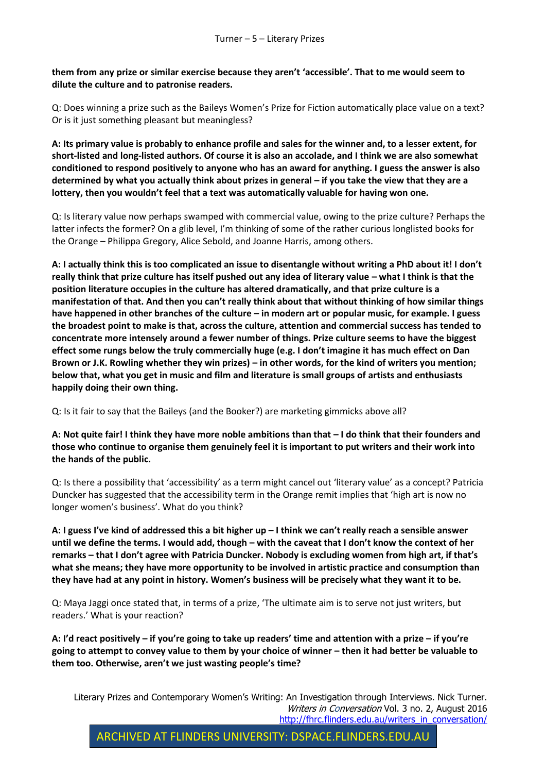**them from any prize or similar exercise because they aren't 'accessible'. That to me would seem to dilute the culture and to patronise readers.** 

Q: Does winning a prize such as the Baileys Women's Prize for Fiction automatically place value on a text? Or is it just something pleasant but meaningless?

**A: Its primary value is probably to enhance profile and sales for the winner and, to a lesser extent, for short-listed and long-listed authors. Of course it is also an accolade, and I think we are also somewhat conditioned to respond positively to anyone who has an award for anything. I guess the answer is also determined by what you actually think about prizes in general – if you take the view that they are a lottery, then you wouldn't feel that a text was automatically valuable for having won one.** 

Q: Is literary value now perhaps swamped with commercial value, owing to the prize culture? Perhaps the latter infects the former? On a glib level, I'm thinking of some of the rather curious longlisted books for the Orange – Philippa Gregory, Alice Sebold, and Joanne Harris, among others.

**A: I actually think this is too complicated an issue to disentangle without writing a PhD about it! I don't really think that prize culture has itself pushed out any idea of literary value – what I think is that the position literature occupies in the culture has altered dramatically, and that prize culture is a manifestation of that. And then you can't really think about that without thinking of how similar things have happened in other branches of the culture – in modern art or popular music, for example. I guess the broadest point to make is that, across the culture, attention and commercial success has tended to concentrate more intensely around a fewer number of things. Prize culture seems to have the biggest effect some rungs below the truly commercially huge (e.g. I don't imagine it has much effect on Dan Brown or J.K. Rowling whether they win prizes) – in other words, for the kind of writers you mention; below that, what you get in music and film and literature is small groups of artists and enthusiasts happily doing their own thing.**

Q: Is it fair to say that the Baileys (and the Booker?) are marketing gimmicks above all?

**A: Not quite fair! I think they have more noble ambitions than that – I do think that their founders and those who continue to organise them genuinely feel it is important to put writers and their work into the hands of the public.**

Q: Is there a possibility that 'accessibility' as a term might cancel out 'literary value' as a concept? Patricia Duncker has suggested that the accessibility term in the Orange remit implies that 'high art is now no longer women's business'. What do you think?

**A: I guess I've kind of addressed this a bit higher up – I think we can't really reach a sensible answer until we define the terms. I would add, though – with the caveat that I don't know the context of her remarks – that I don't agree with Patricia Duncker. Nobody is excluding women from high art, if that's what she means; they have more opportunity to be involved in artistic practice and consumption than they have had at any point in history. Women's business will be precisely what they want it to be.**

Q: Maya Jaggi once stated that, in terms of a prize, 'The ultimate aim is to serve not just writers, but readers.' What is your reaction?

**A: I'd react positively – if you're going to take up readers' time and attention with a prize – if you're going to attempt to convey value to them by your choice of winner – then it had better be valuable to them too. Otherwise, aren't we just wasting people's time?**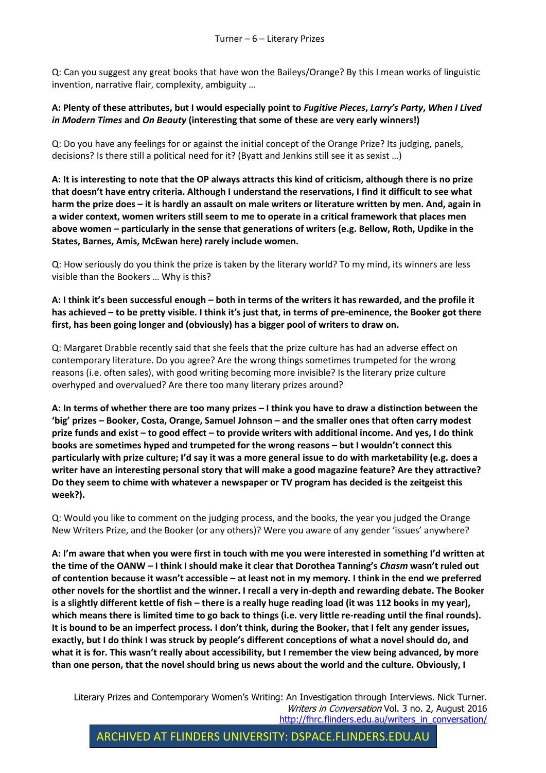Q: Can you suggest any great books that have won the Baileys/Orange? By this I mean works of linguistic invention, narrative flair, complexity, ambiguity …

**A: Plenty of these attributes, but I would especially point to** *Fugitive Pieces***,** *Larry's Party***,** *When I Lived in Modern Times* **and** *On Beauty* **(interesting that some of these are very early winners!)**

Q: Do you have any feelings for or against the initial concept of the Orange Prize? Its judging, panels, decisions? Is there still a political need for it? (Byatt and Jenkins still see it as sexist …)

**A: It is interesting to note that the OP always attracts this kind of criticism, although there is no prize that doesn't have entry criteria. Although I understand the reservations, I find it difficult to see what harm the prize does – it is hardly an assault on male writers or literature written by men. And, again in a wider context, women writers still seem to me to operate in a critical framework that places men above women – particularly in the sense that generations of writers (e.g. Bellow, Roth, Updike in the States, Barnes, Amis, McEwan here) rarely include women.**

Q: How seriously do you think the prize is taken by the literary world? To my mind, its winners are less visible than the Bookers … Why is this?

**A: I think it's been successful enough – both in terms of the writers it has rewarded, and the profile it has achieved – to be pretty visible. I think it's just that, in terms of pre-eminence, the Booker got there first, has been going longer and (obviously) has a bigger pool of writers to draw on.**

Q: Margaret Drabble recently said that she feels that the prize culture has had an adverse effect on contemporary literature. Do you agree? Are the wrong things sometimes trumpeted for the wrong reasons (i.e. often sales), with good writing becoming more invisible? Is the literary prize culture overhyped and overvalued? Are there too many literary prizes around?

**A: In terms of whether there are too many prizes – I think you have to draw a distinction between the 'big' prizes – Booker, Costa, Orange, Samuel Johnson – and the smaller ones that often carry modest prize funds and exist – to good effect – to provide writers with additional income. And yes, I do think books are sometimes hyped and trumpeted for the wrong reasons – but I wouldn't connect this particularly with prize culture; I'd say it was a more general issue to do with marketability (e.g. does a writer have an interesting personal story that will make a good magazine feature? Are they attractive? Do they seem to chime with whatever a newspaper or TV program has decided is the zeitgeist this week?).**

Q: Would you like to comment on the judging process, and the books, the year you judged the Orange New Writers Prize, and the Booker (or any others)? Were you aware of any gender 'issues' anywhere?

**A: I'm aware that when you were first in touch with me you were interested in something I'd written at the time of the OANW – I think I should make it clear that Dorothea Tanning's** *Chasm* **wasn't ruled out of contention because it wasn't accessible – at least not in my memory. I think in the end we preferred other novels for the shortlist and the winner. I recall a very in-depth and rewarding debate. The Booker is a slightly different kettle of fish – there is a really huge reading load (it was 112 books in my year), which means there is limited time to go back to things (i.e. very little re-reading until the final rounds). It is bound to be an imperfect process. I don't think, during the Booker, that I felt any gender issues, exactly, but I do think I was struck by people's different conceptions of what a novel should do, and what it is for. This wasn't really about accessibility, but I remember the view being advanced, by more than one person, that the novel should bring us news about the world and the culture. Obviously, I**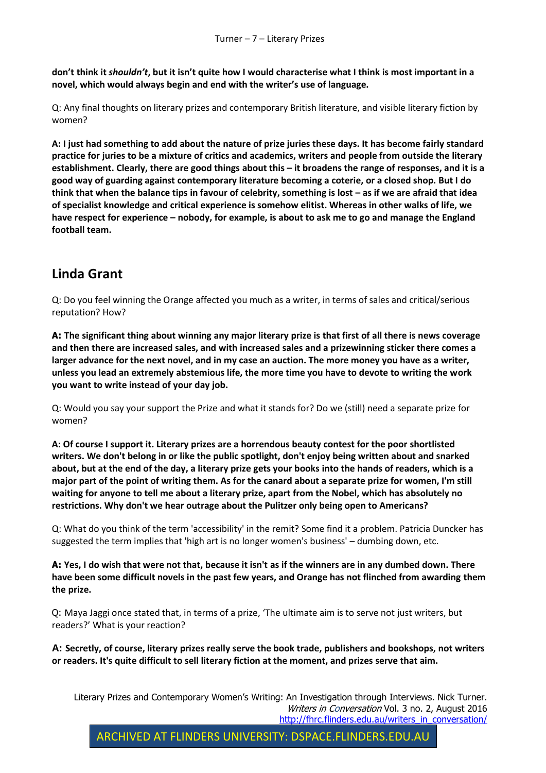**don't think it** *shouldn't***, but it isn't quite how I would characterise what I think is most important in a novel, which would always begin and end with the writer's use of language.**

Q: Any final thoughts on literary prizes and contemporary British literature, and visible literary fiction by women?

**A: I just had something to add about the nature of prize juries these days. It has become fairly standard practice for juries to be a mixture of critics and academics, writers and people from outside the literary establishment. Clearly, there are good things about this – it broadens the range of responses, and it is a good way of guarding against contemporary literature becoming a coterie, or a closed shop. But I do think that when the balance tips in favour of celebrity, something is lost – as if we are afraid that idea of specialist knowledge and critical experience is somehow elitist. Whereas in other walks of life, we have respect for experience – nobody, for example, is about to ask me to go and manage the England football team.**

## **Linda Grant**

Q: Do you feel winning the Orange affected you much as a writer, in terms of sales and critical/serious reputation? How?

**A: The significant thing about winning any major literary prize is that first of all there is news coverage and then there are increased sales, and with increased sales and a prizewinning sticker there comes a larger advance for the next novel, and in my case an auction. The more money you have as a writer, unless you lead an extremely abstemious life, the more time you have to devote to writing the work you want to write instead of your day job.**

Q: Would you say your support the Prize and what it stands for? Do we (still) need a separate prize for women?

**A: Of course I support it. Literary prizes are a horrendous beauty contest for the poor shortlisted writers. We don't belong in or like the public spotlight, don't enjoy being written about and snarked about, but at the end of the day, a literary prize gets your books into the hands of readers, which is a major part of the point of writing them. As for the canard about a separate prize for women, I'm still waiting for anyone to tell me about a literary prize, apart from the Nobel, which has absolutely no restrictions. Why don't we hear outrage about the Pulitzer only being open to Americans?**

Q: What do you think of the term 'accessibility' in the remit? Some find it a problem. Patricia Duncker has suggested the term implies that 'high art is no longer women's business' – dumbing down, etc.

**A: Yes, I do wish that were not that, because it isn't as if the winners are in any dumbed down. There have been some difficult novels in the past few years, and Orange has not flinched from awarding them the prize.**

Q: Maya Jaggi once stated that, in terms of a prize, 'The ultimate aim is to serve not just writers, but readers?' What is your reaction?

**A: Secretly, of course, literary prizes really serve the book trade, publishers and bookshops, not writers or readers. It's quite difficult to sell literary fiction at the moment, and prizes serve that aim.**